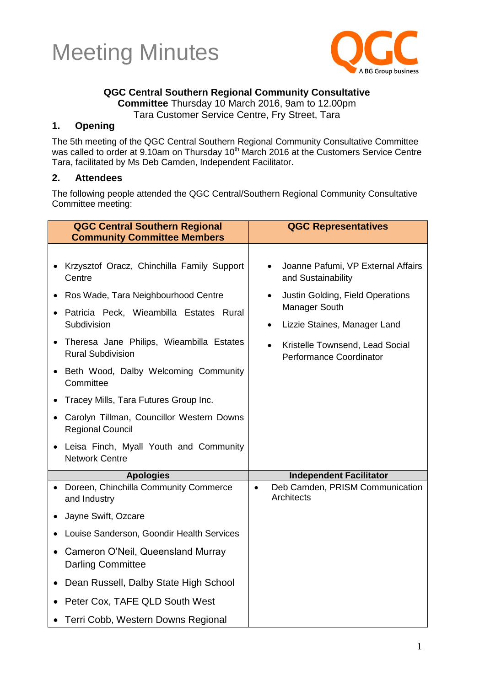



### **QGC Central Southern Regional Community Consultative**

**Committee** Thursday 10 March 2016, 9am to 12.00pm

Tara Customer Service Centre, Fry Street, Tara

### **1. Opening**

The 5th meeting of the QGC Central Southern Regional Community Consultative Committee was called to order at 9.10am on Thursday 10<sup>th</sup> March 2016 at the Customers Service Centre Tara, facilitated by Ms Deb Camden, Independent Facilitator.

#### **2. Attendees**

The following people attended the QGC Central/Southern Regional Community Consultative Committee meeting:

| <b>QGC Central Southern Regional</b><br><b>Community Committee Members</b>                                                                                                                                                                                                                                                                                                                                                                                                                  | <b>QGC Representatives</b>                                                                                                                                                                                                                         |
|---------------------------------------------------------------------------------------------------------------------------------------------------------------------------------------------------------------------------------------------------------------------------------------------------------------------------------------------------------------------------------------------------------------------------------------------------------------------------------------------|----------------------------------------------------------------------------------------------------------------------------------------------------------------------------------------------------------------------------------------------------|
| • Krzysztof Oracz, Chinchilla Family Support<br>Centre<br>Ros Wade, Tara Neighbourhood Centre<br>Patricia Peck, Wieambilla Estates Rural<br>Subdivision<br>• Theresa Jane Philips, Wieambilla Estates<br><b>Rural Subdivision</b><br>• Beth Wood, Dalby Welcoming Community<br>Committee<br>Tracey Mills, Tara Futures Group Inc.<br>• Carolyn Tillman, Councillor Western Downs<br><b>Regional Council</b><br>Leisa Finch, Myall Youth and Community<br>$\bullet$<br><b>Network Centre</b> | Joanne Pafumi, VP External Affairs<br>and Sustainability<br>Justin Golding, Field Operations<br>$\bullet$<br>Manager South<br>Lizzie Staines, Manager Land<br>$\bullet$<br>Kristelle Townsend, Lead Social<br>$\bullet$<br>Performance Coordinator |
| <b>Apologies</b>                                                                                                                                                                                                                                                                                                                                                                                                                                                                            | <b>Independent Facilitator</b>                                                                                                                                                                                                                     |
| Doreen, Chinchilla Community Commerce<br>$\bullet$<br>and Industry                                                                                                                                                                                                                                                                                                                                                                                                                          | Deb Camden, PRISM Communication<br>$\bullet$<br><b>Architects</b>                                                                                                                                                                                  |
| Jayne Swift, Ozcare                                                                                                                                                                                                                                                                                                                                                                                                                                                                         |                                                                                                                                                                                                                                                    |
| Louise Sanderson, Goondir Health Services                                                                                                                                                                                                                                                                                                                                                                                                                                                   |                                                                                                                                                                                                                                                    |
| Cameron O'Neil, Queensland Murray<br>$\bullet$<br><b>Darling Committee</b>                                                                                                                                                                                                                                                                                                                                                                                                                  |                                                                                                                                                                                                                                                    |
| Dean Russell, Dalby State High School<br>٠                                                                                                                                                                                                                                                                                                                                                                                                                                                  |                                                                                                                                                                                                                                                    |
| Peter Cox, TAFE QLD South West                                                                                                                                                                                                                                                                                                                                                                                                                                                              |                                                                                                                                                                                                                                                    |
| • Terri Cobb, Western Downs Regional                                                                                                                                                                                                                                                                                                                                                                                                                                                        |                                                                                                                                                                                                                                                    |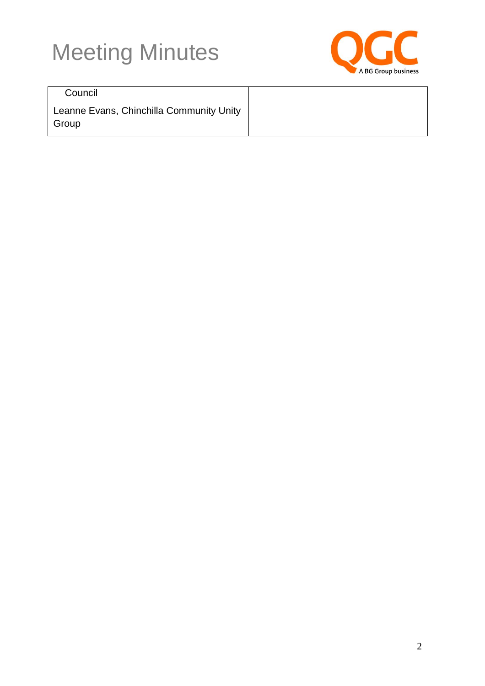

**Council** 

Leanne Evans, Chinchilla Community Unity Group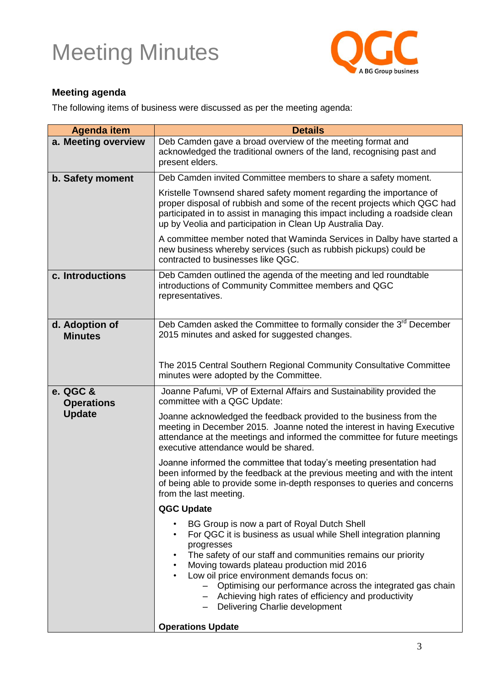

### **Meeting agenda**

The following items of business were discussed as per the meeting agenda:

| <b>Agenda item</b>                             | <b>Details</b>                                                                                                                                                                                                                                                                                                                                                                                                                                                                |
|------------------------------------------------|-------------------------------------------------------------------------------------------------------------------------------------------------------------------------------------------------------------------------------------------------------------------------------------------------------------------------------------------------------------------------------------------------------------------------------------------------------------------------------|
| a. Meeting overview                            | Deb Camden gave a broad overview of the meeting format and<br>acknowledged the traditional owners of the land, recognising past and<br>present elders.                                                                                                                                                                                                                                                                                                                        |
| b. Safety moment                               | Deb Camden invited Committee members to share a safety moment.                                                                                                                                                                                                                                                                                                                                                                                                                |
|                                                | Kristelle Townsend shared safety moment regarding the importance of<br>proper disposal of rubbish and some of the recent projects which QGC had<br>participated in to assist in managing this impact including a roadside clean<br>up by Veolia and participation in Clean Up Australia Day.                                                                                                                                                                                  |
|                                                | A committee member noted that Waminda Services in Dalby have started a<br>new business whereby services (such as rubbish pickups) could be<br>contracted to businesses like QGC.                                                                                                                                                                                                                                                                                              |
| c. Introductions                               | Deb Camden outlined the agenda of the meeting and led roundtable<br>introductions of Community Committee members and QGC<br>representatives.                                                                                                                                                                                                                                                                                                                                  |
| d. Adoption of<br><b>Minutes</b>               | Deb Camden asked the Committee to formally consider the 3 <sup>rd</sup> December<br>2015 minutes and asked for suggested changes.                                                                                                                                                                                                                                                                                                                                             |
|                                                | The 2015 Central Southern Regional Community Consultative Committee<br>minutes were adopted by the Committee.                                                                                                                                                                                                                                                                                                                                                                 |
| e. QGC &<br><b>Operations</b><br><b>Update</b> | Joanne Pafumi, VP of External Affairs and Sustainability provided the<br>committee with a QGC Update:                                                                                                                                                                                                                                                                                                                                                                         |
|                                                | Joanne acknowledged the feedback provided to the business from the<br>meeting in December 2015. Joanne noted the interest in having Executive<br>attendance at the meetings and informed the committee for future meetings<br>executive attendance would be shared.                                                                                                                                                                                                           |
|                                                | Joanne informed the committee that today's meeting presentation had<br>been informed by the feedback at the previous meeting and with the intent<br>of being able to provide some in-depth responses to queries and concerns<br>from the last meeting.                                                                                                                                                                                                                        |
|                                                | <b>QGC Update</b>                                                                                                                                                                                                                                                                                                                                                                                                                                                             |
|                                                | BG Group is now a part of Royal Dutch Shell<br>For QGC it is business as usual while Shell integration planning<br>$\bullet$<br>progresses<br>The safety of our staff and communities remains our priority<br>Moving towards plateau production mid 2016<br>$\bullet$<br>Low oil price environment demands focus on:<br>Optimising our performance across the integrated gas chain<br>- Achieving high rates of efficiency and productivity<br>Delivering Charlie development |
|                                                | <b>Operations Update</b>                                                                                                                                                                                                                                                                                                                                                                                                                                                      |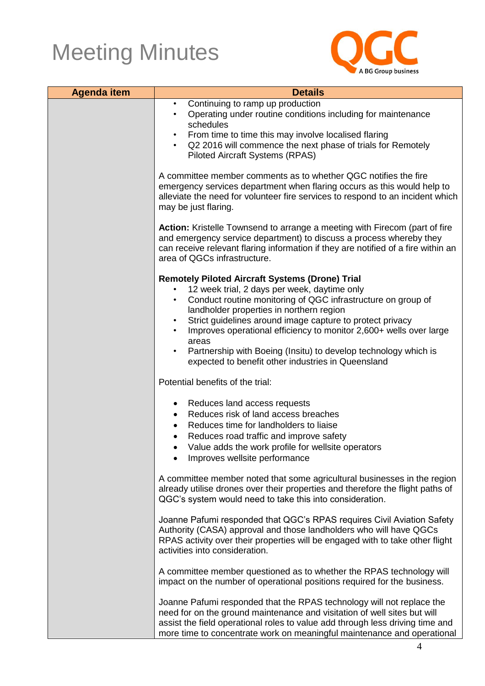

| <b>Agenda item</b> | <b>Details</b>                                                                                                                                                                                                                                                                                                                                                                                                                                                                                                    |  |
|--------------------|-------------------------------------------------------------------------------------------------------------------------------------------------------------------------------------------------------------------------------------------------------------------------------------------------------------------------------------------------------------------------------------------------------------------------------------------------------------------------------------------------------------------|--|
|                    | Continuing to ramp up production<br>$\bullet$<br>Operating under routine conditions including for maintenance<br>$\bullet$<br>schedules<br>From time to time this may involve localised flaring<br>Q2 2016 will commence the next phase of trials for Remotely<br><b>Piloted Aircraft Systems (RPAS)</b>                                                                                                                                                                                                          |  |
|                    | A committee member comments as to whether QGC notifies the fire<br>emergency services department when flaring occurs as this would help to<br>alleviate the need for volunteer fire services to respond to an incident which<br>may be just flaring.                                                                                                                                                                                                                                                              |  |
|                    | Action: Kristelle Townsend to arrange a meeting with Firecom (part of fire<br>and emergency service department) to discuss a process whereby they<br>can receive relevant flaring information if they are notified of a fire within an<br>area of QGCs infrastructure.                                                                                                                                                                                                                                            |  |
|                    | <b>Remotely Piloted Aircraft Systems (Drone) Trial</b><br>12 week trial, 2 days per week, daytime only<br>Conduct routine monitoring of QGC infrastructure on group of<br>$\bullet$<br>landholder properties in northern region<br>Strict guidelines around image capture to protect privacy<br>Improves operational efficiency to monitor 2,600+ wells over large<br>areas<br>Partnership with Boeing (Insitu) to develop technology which is<br>$\bullet$<br>expected to benefit other industries in Queensland |  |
|                    | Potential benefits of the trial:                                                                                                                                                                                                                                                                                                                                                                                                                                                                                  |  |
|                    | Reduces land access requests<br>Reduces risk of land access breaches<br>Reduces time for landholders to liaise<br>Reduces road traffic and improve safety<br>Value adds the work profile for wellsite operators<br>Improves wellsite performance                                                                                                                                                                                                                                                                  |  |
|                    | A committee member noted that some agricultural businesses in the region<br>already utilise drones over their properties and therefore the flight paths of<br>QGC's system would need to take this into consideration.                                                                                                                                                                                                                                                                                            |  |
|                    | Joanne Pafumi responded that QGC's RPAS requires Civil Aviation Safety<br>Authority (CASA) approval and those landholders who will have QGCs<br>RPAS activity over their properties will be engaged with to take other flight<br>activities into consideration.                                                                                                                                                                                                                                                   |  |
|                    | A committee member questioned as to whether the RPAS technology will<br>impact on the number of operational positions required for the business.                                                                                                                                                                                                                                                                                                                                                                  |  |
|                    | Joanne Pafumi responded that the RPAS technology will not replace the<br>need for on the ground maintenance and visitation of well sites but will<br>assist the field operational roles to value add through less driving time and<br>more time to concentrate work on meaningful maintenance and operational                                                                                                                                                                                                     |  |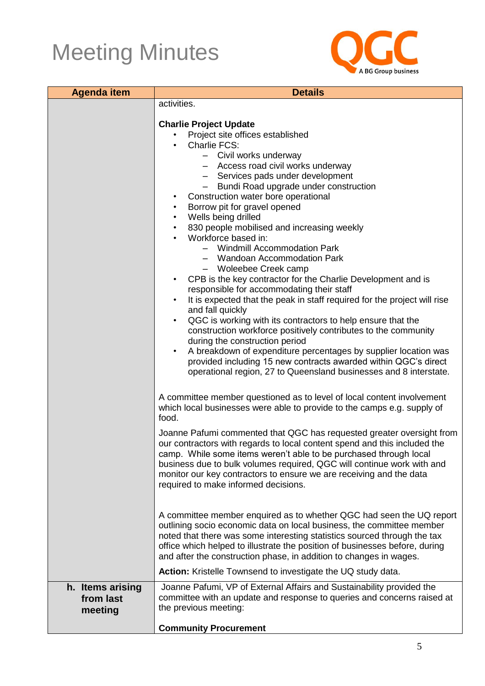

| <b>Agenda item</b> | <b>Details</b>                                                                                                                                |  |
|--------------------|-----------------------------------------------------------------------------------------------------------------------------------------------|--|
|                    | activities.                                                                                                                                   |  |
|                    | <b>Charlie Project Update</b>                                                                                                                 |  |
|                    | Project site offices established                                                                                                              |  |
|                    | Charlie FCS:                                                                                                                                  |  |
|                    | - Civil works underway                                                                                                                        |  |
|                    | - Access road civil works underway                                                                                                            |  |
|                    | - Services pads under development                                                                                                             |  |
|                    | - Bundi Road upgrade under construction<br>Construction water bore operational                                                                |  |
|                    | Borrow pit for gravel opened                                                                                                                  |  |
|                    | Wells being drilled<br>$\bullet$                                                                                                              |  |
|                    | 830 people mobilised and increasing weekly<br>$\bullet$                                                                                       |  |
|                    | Workforce based in:                                                                                                                           |  |
|                    | - Windmill Accommodation Park                                                                                                                 |  |
|                    | - Wandoan Accommodation Park                                                                                                                  |  |
|                    | - Woleebee Creek camp<br>CPB is the key contractor for the Charlie Development and is                                                         |  |
|                    | responsible for accommodating their staff                                                                                                     |  |
|                    | It is expected that the peak in staff required for the project will rise                                                                      |  |
|                    | and fall quickly                                                                                                                              |  |
|                    | QGC is working with its contractors to help ensure that the<br>$\bullet$                                                                      |  |
|                    | construction workforce positively contributes to the community                                                                                |  |
|                    | during the construction period<br>A breakdown of expenditure percentages by supplier location was                                             |  |
|                    | provided including 15 new contracts awarded within QGC's direct                                                                               |  |
|                    | operational region, 27 to Queensland businesses and 8 interstate.                                                                             |  |
|                    |                                                                                                                                               |  |
|                    | A committee member questioned as to level of local content involvement                                                                        |  |
|                    | which local businesses were able to provide to the camps e.g. supply of                                                                       |  |
|                    | food.                                                                                                                                         |  |
|                    | Joanne Pafumi commented that QGC has requested greater oversight from                                                                         |  |
|                    | our contractors with regards to local content spend and this included the                                                                     |  |
|                    | camp. While some items weren't able to be purchased through local<br>business due to bulk volumes required, QGC will continue work with and   |  |
|                    | monitor our key contractors to ensure we are receiving and the data                                                                           |  |
|                    | required to make informed decisions.                                                                                                          |  |
|                    |                                                                                                                                               |  |
|                    |                                                                                                                                               |  |
|                    | A committee member enquired as to whether QGC had seen the UQ report<br>outlining socio economic data on local business, the committee member |  |
|                    | noted that there was some interesting statistics sourced through the tax                                                                      |  |
|                    | office which helped to illustrate the position of businesses before, during                                                                   |  |
|                    | and after the construction phase, in addition to changes in wages.                                                                            |  |
|                    | Action: Kristelle Townsend to investigate the UQ study data.                                                                                  |  |
| h. Items arising   | Joanne Pafumi, VP of External Affairs and Sustainability provided the                                                                         |  |
| from last          | committee with an update and response to queries and concerns raised at                                                                       |  |
| meeting            | the previous meeting:                                                                                                                         |  |
|                    | <b>Community Procurement</b>                                                                                                                  |  |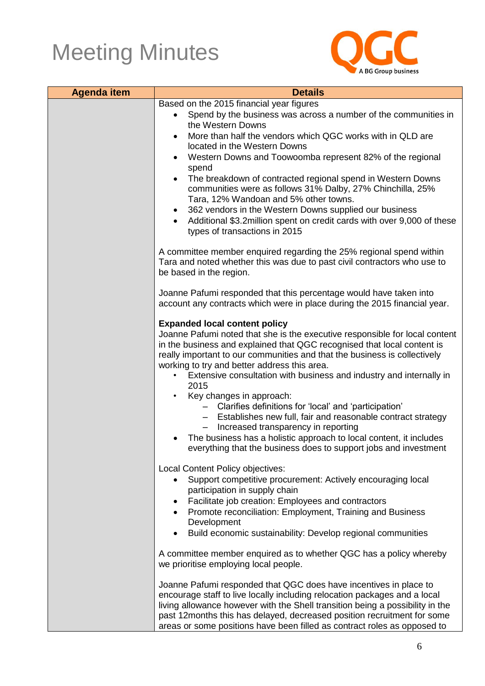

| <b>Agenda item</b> | <b>Details</b>                                                                                                                                                                                                                                                                                                                                                                                                                                                                                                                                                                                                                                                                                                                                                                                                                                                                                                                                                                                                          |
|--------------------|-------------------------------------------------------------------------------------------------------------------------------------------------------------------------------------------------------------------------------------------------------------------------------------------------------------------------------------------------------------------------------------------------------------------------------------------------------------------------------------------------------------------------------------------------------------------------------------------------------------------------------------------------------------------------------------------------------------------------------------------------------------------------------------------------------------------------------------------------------------------------------------------------------------------------------------------------------------------------------------------------------------------------|
|                    | Based on the 2015 financial year figures                                                                                                                                                                                                                                                                                                                                                                                                                                                                                                                                                                                                                                                                                                                                                                                                                                                                                                                                                                                |
|                    | Spend by the business was across a number of the communities in<br>the Western Downs                                                                                                                                                                                                                                                                                                                                                                                                                                                                                                                                                                                                                                                                                                                                                                                                                                                                                                                                    |
|                    | More than half the vendors which QGC works with in QLD are<br>located in the Western Downs                                                                                                                                                                                                                                                                                                                                                                                                                                                                                                                                                                                                                                                                                                                                                                                                                                                                                                                              |
|                    | Western Downs and Toowoomba represent 82% of the regional<br>spend                                                                                                                                                                                                                                                                                                                                                                                                                                                                                                                                                                                                                                                                                                                                                                                                                                                                                                                                                      |
|                    | The breakdown of contracted regional spend in Western Downs<br>communities were as follows 31% Dalby, 27% Chinchilla, 25%<br>Tara, 12% Wandoan and 5% other towns.<br>362 vendors in the Western Downs supplied our business                                                                                                                                                                                                                                                                                                                                                                                                                                                                                                                                                                                                                                                                                                                                                                                            |
|                    | Additional \$3.2 million spent on credit cards with over 9,000 of these<br>types of transactions in 2015                                                                                                                                                                                                                                                                                                                                                                                                                                                                                                                                                                                                                                                                                                                                                                                                                                                                                                                |
|                    | A committee member enquired regarding the 25% regional spend within<br>Tara and noted whether this was due to past civil contractors who use to<br>be based in the region.                                                                                                                                                                                                                                                                                                                                                                                                                                                                                                                                                                                                                                                                                                                                                                                                                                              |
|                    | Joanne Pafumi responded that this percentage would have taken into<br>account any contracts which were in place during the 2015 financial year.                                                                                                                                                                                                                                                                                                                                                                                                                                                                                                                                                                                                                                                                                                                                                                                                                                                                         |
|                    | <b>Expanded local content policy</b><br>Joanne Pafumi noted that she is the executive responsible for local content<br>in the business and explained that QGC recognised that local content is<br>really important to our communities and that the business is collectively<br>working to try and better address this area.<br>Extensive consultation with business and industry and internally in<br>2015<br>Key changes in approach:<br>- Clarifies definitions for 'local' and 'participation'<br>- Establishes new full, fair and reasonable contract strategy<br>Increased transparency in reporting<br>The business has a holistic approach to local content, it includes<br>everything that the business does to support jobs and investment<br>Local Content Policy objectives:<br>Support competitive procurement: Actively encouraging local<br>participation in supply chain<br>Facilitate job creation: Employees and contractors<br>Promote reconciliation: Employment, Training and Business<br>$\bullet$ |
|                    | Development<br>Build economic sustainability: Develop regional communities                                                                                                                                                                                                                                                                                                                                                                                                                                                                                                                                                                                                                                                                                                                                                                                                                                                                                                                                              |
|                    | A committee member enquired as to whether QGC has a policy whereby<br>we prioritise employing local people.                                                                                                                                                                                                                                                                                                                                                                                                                                                                                                                                                                                                                                                                                                                                                                                                                                                                                                             |
|                    | Joanne Pafumi responded that QGC does have incentives in place to<br>encourage staff to live locally including relocation packages and a local<br>living allowance however with the Shell transition being a possibility in the<br>past 12months this has delayed, decreased position recruitment for some<br>areas or some positions have been filled as contract roles as opposed to                                                                                                                                                                                                                                                                                                                                                                                                                                                                                                                                                                                                                                  |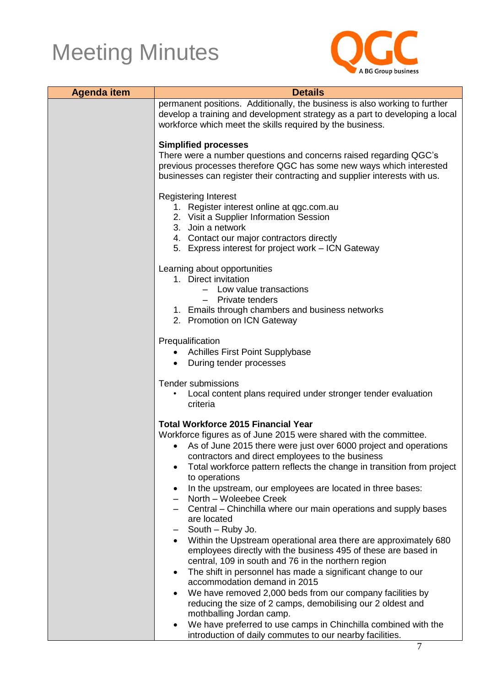

| <b>Agenda item</b> | <b>Details</b>                                                                                                                                                                                                                                                                                                                                                                                                                                                                                                                                                                                                                                                                                                                                                                                                                                                                                                                   |  |
|--------------------|----------------------------------------------------------------------------------------------------------------------------------------------------------------------------------------------------------------------------------------------------------------------------------------------------------------------------------------------------------------------------------------------------------------------------------------------------------------------------------------------------------------------------------------------------------------------------------------------------------------------------------------------------------------------------------------------------------------------------------------------------------------------------------------------------------------------------------------------------------------------------------------------------------------------------------|--|
|                    | permanent positions. Additionally, the business is also working to further<br>develop a training and development strategy as a part to developing a local<br>workforce which meet the skills required by the business.                                                                                                                                                                                                                                                                                                                                                                                                                                                                                                                                                                                                                                                                                                           |  |
|                    | <b>Simplified processes</b><br>There were a number questions and concerns raised regarding QGC's<br>previous processes therefore QGC has some new ways which interested<br>businesses can register their contracting and supplier interests with us.                                                                                                                                                                                                                                                                                                                                                                                                                                                                                                                                                                                                                                                                             |  |
|                    | <b>Registering Interest</b><br>1. Register interest online at qgc.com.au<br>2. Visit a Supplier Information Session<br>3. Join a network<br>4. Contact our major contractors directly<br>5. Express interest for project work - ICN Gateway                                                                                                                                                                                                                                                                                                                                                                                                                                                                                                                                                                                                                                                                                      |  |
|                    | Learning about opportunities<br>1. Direct invitation<br>- Low value transactions<br><b>Private tenders</b><br>1. Emails through chambers and business networks<br>2. Promotion on ICN Gateway                                                                                                                                                                                                                                                                                                                                                                                                                                                                                                                                                                                                                                                                                                                                    |  |
|                    | Prequalification<br><b>Achilles First Point Supplybase</b><br>During tender processes                                                                                                                                                                                                                                                                                                                                                                                                                                                                                                                                                                                                                                                                                                                                                                                                                                            |  |
|                    | Tender submissions<br>Local content plans required under stronger tender evaluation<br>criteria                                                                                                                                                                                                                                                                                                                                                                                                                                                                                                                                                                                                                                                                                                                                                                                                                                  |  |
|                    | <b>Total Workforce 2015 Financial Year</b><br>Workforce figures as of June 2015 were shared with the committee.<br>As of June 2015 there were just over 6000 project and operations<br>contractors and direct employees to the business<br>Total workforce pattern reflects the change in transition from project<br>$\bullet$<br>to operations<br>In the upstream, our employees are located in three bases:<br>$\bullet$<br>North - Woleebee Creek<br>Central – Chinchilla where our main operations and supply bases<br>are located<br>South - Ruby Jo.<br>Within the Upstream operational area there are approximately 680<br>employees directly with the business 495 of these are based in<br>central, 109 in south and 76 in the northern region<br>The shift in personnel has made a significant change to our<br>$\bullet$<br>accommodation demand in 2015<br>We have removed 2,000 beds from our company facilities by |  |
|                    | reducing the size of 2 camps, demobilising our 2 oldest and<br>mothballing Jordan camp.<br>We have preferred to use camps in Chinchilla combined with the<br>$\bullet$<br>introduction of daily commutes to our nearby facilities.                                                                                                                                                                                                                                                                                                                                                                                                                                                                                                                                                                                                                                                                                               |  |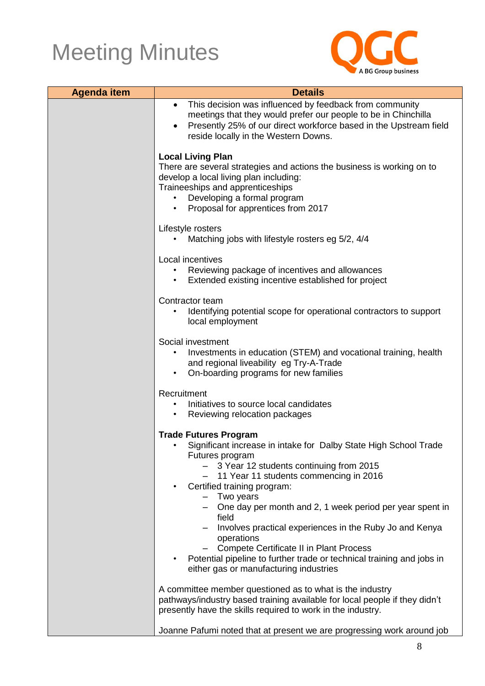

| <b>Agenda item</b> | <b>Details</b>                                                                                                                         |
|--------------------|----------------------------------------------------------------------------------------------------------------------------------------|
|                    | This decision was influenced by feedback from community<br>$\bullet$<br>meetings that they would prefer our people to be in Chinchilla |
|                    | Presently 25% of our direct workforce based in the Upstream field<br>$\bullet$                                                         |
|                    | reside locally in the Western Downs.                                                                                                   |
|                    | <b>Local Living Plan</b>                                                                                                               |
|                    | There are several strategies and actions the business is working on to                                                                 |
|                    | develop a local living plan including:<br>Traineeships and apprenticeships                                                             |
|                    | Developing a formal program                                                                                                            |
|                    | Proposal for apprentices from 2017                                                                                                     |
|                    | Lifestyle rosters                                                                                                                      |
|                    | Matching jobs with lifestyle rosters eg 5/2, 4/4                                                                                       |
|                    | Local incentives                                                                                                                       |
|                    | Reviewing package of incentives and allowances<br>٠<br>Extended existing incentive established for project<br>$\bullet$                |
|                    |                                                                                                                                        |
|                    | Contractor team                                                                                                                        |
|                    | Identifying potential scope for operational contractors to support<br>local employment                                                 |
|                    | Social investment                                                                                                                      |
|                    | Investments in education (STEM) and vocational training, health<br>and regional liveability eg Try-A-Trade                             |
|                    | On-boarding programs for new families                                                                                                  |
|                    | Recruitment                                                                                                                            |
|                    | Initiatives to source local candidates                                                                                                 |
|                    | Reviewing relocation packages<br>$\bullet$                                                                                             |
|                    | <b>Trade Futures Program</b>                                                                                                           |
|                    | Significant increase in intake for Dalby State High School Trade<br>Futures program                                                    |
|                    | 3 Year 12 students continuing from 2015                                                                                                |
|                    | - 11 Year 11 students commencing in 2016<br>Certified training program:                                                                |
|                    | - Two years                                                                                                                            |
|                    | - One day per month and 2, 1 week period per year spent in<br>field                                                                    |
|                    | Involves practical experiences in the Ruby Jo and Kenya                                                                                |
|                    | operations<br><b>Compete Certificate II in Plant Process</b>                                                                           |
|                    | Potential pipeline to further trade or technical training and jobs in                                                                  |
|                    | either gas or manufacturing industries                                                                                                 |
|                    | A committee member questioned as to what is the industry                                                                               |
|                    | pathways/industry based training available for local people if they didn't                                                             |
|                    | presently have the skills required to work in the industry.                                                                            |
|                    | Joanne Pafumi noted that at present we are progressing work around job                                                                 |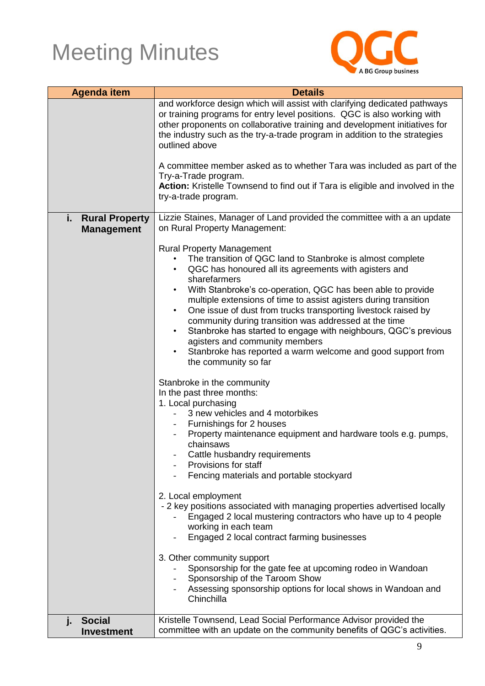

| <b>Agenda item</b>                               | <b>Details</b>                                                                                                                                                                                                                                                                                                                                                                                                                                                                                                                                                                                                                                                           |
|--------------------------------------------------|--------------------------------------------------------------------------------------------------------------------------------------------------------------------------------------------------------------------------------------------------------------------------------------------------------------------------------------------------------------------------------------------------------------------------------------------------------------------------------------------------------------------------------------------------------------------------------------------------------------------------------------------------------------------------|
|                                                  | and workforce design which will assist with clarifying dedicated pathways<br>or training programs for entry level positions. QGC is also working with<br>other proponents on collaborative training and development initiatives for<br>the industry such as the try-a-trade program in addition to the strategies<br>outlined above                                                                                                                                                                                                                                                                                                                                      |
|                                                  | A committee member asked as to whether Tara was included as part of the<br>Try-a-Trade program.                                                                                                                                                                                                                                                                                                                                                                                                                                                                                                                                                                          |
|                                                  | Action: Kristelle Townsend to find out if Tara is eligible and involved in the<br>try-a-trade program.                                                                                                                                                                                                                                                                                                                                                                                                                                                                                                                                                                   |
| <b>Rural Property</b><br>Î,<br><b>Management</b> | Lizzie Staines, Manager of Land provided the committee with a an update<br>on Rural Property Management:                                                                                                                                                                                                                                                                                                                                                                                                                                                                                                                                                                 |
|                                                  | <b>Rural Property Management</b><br>The transition of QGC land to Stanbroke is almost complete<br>QGC has honoured all its agreements with agisters and<br>$\bullet$<br>sharefarmers<br>With Stanbroke's co-operation, QGC has been able to provide<br>$\bullet$<br>multiple extensions of time to assist agisters during transition<br>One issue of dust from trucks transporting livestock raised by<br>$\bullet$<br>community during transition was addressed at the time<br>Stanbroke has started to engage with neighbours, QGC's previous<br>agisters and community members<br>Stanbroke has reported a warm welcome and good support from<br>the community so far |
|                                                  | Stanbroke in the community<br>In the past three months:<br>1. Local purchasing<br>3 new vehicles and 4 motorbikes<br>Furnishings for 2 houses<br>Property maintenance equipment and hardware tools e.g. pumps,<br>chainsaws<br>Cattle husbandry requirements<br>Provisions for staff<br>Fencing materials and portable stockyard                                                                                                                                                                                                                                                                                                                                         |
|                                                  | 2. Local employment<br>- 2 key positions associated with managing properties advertised locally<br>Engaged 2 local mustering contractors who have up to 4 people<br>working in each team<br>Engaged 2 local contract farming businesses                                                                                                                                                                                                                                                                                                                                                                                                                                  |
|                                                  | 3. Other community support<br>Sponsorship for the gate fee at upcoming rodeo in Wandoan<br>Sponsorship of the Taroom Show<br>Assessing sponsorship options for local shows in Wandoan and<br>Chinchilla                                                                                                                                                                                                                                                                                                                                                                                                                                                                  |
| <b>Social</b><br>j.<br><b>Investment</b>         | Kristelle Townsend, Lead Social Performance Advisor provided the<br>committee with an update on the community benefits of QGC's activities.                                                                                                                                                                                                                                                                                                                                                                                                                                                                                                                              |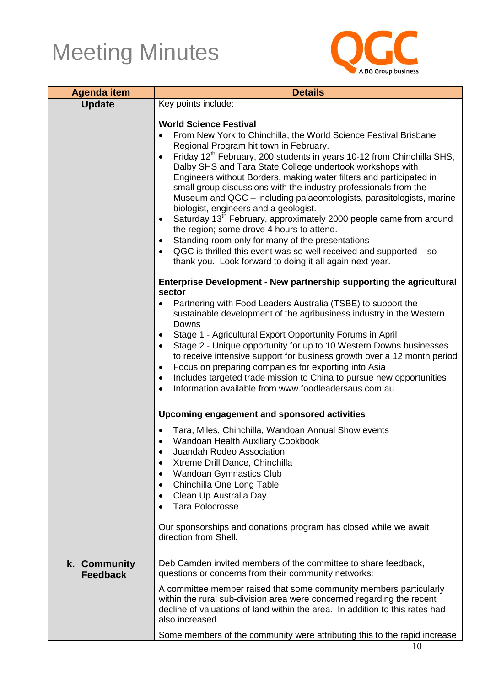

| <b>Agenda item</b>              | <b>Details</b>                                                                                                                                                                                                                                                                                                                                                                                                                                                                                                                                                                                                                                                                                                                                                                                                                                                                                                                      |
|---------------------------------|-------------------------------------------------------------------------------------------------------------------------------------------------------------------------------------------------------------------------------------------------------------------------------------------------------------------------------------------------------------------------------------------------------------------------------------------------------------------------------------------------------------------------------------------------------------------------------------------------------------------------------------------------------------------------------------------------------------------------------------------------------------------------------------------------------------------------------------------------------------------------------------------------------------------------------------|
| <b>Update</b>                   | Key points include:                                                                                                                                                                                                                                                                                                                                                                                                                                                                                                                                                                                                                                                                                                                                                                                                                                                                                                                 |
|                                 | <b>World Science Festival</b><br>From New York to Chinchilla, the World Science Festival Brisbane<br>$\bullet$<br>Regional Program hit town in February.<br>Friday 12 <sup>th</sup> February, 200 students in years 10-12 from Chinchilla SHS,<br>$\bullet$<br>Dalby SHS and Tara State College undertook workshops with<br>Engineers without Borders, making water filters and participated in<br>small group discussions with the industry professionals from the<br>Museum and QGC - including palaeontologists, parasitologists, marine<br>biologist, engineers and a geologist.<br>Saturday 13 <sup>th</sup> February, approximately 2000 people came from around<br>$\bullet$<br>the region; some drove 4 hours to attend.<br>Standing room only for many of the presentations<br>QGC is thrilled this event was so well received and supported – so<br>$\bullet$<br>thank you. Look forward to doing it all again next year. |
|                                 | Enterprise Development - New partnership supporting the agricultural                                                                                                                                                                                                                                                                                                                                                                                                                                                                                                                                                                                                                                                                                                                                                                                                                                                                |
|                                 | sector<br>Partnering with Food Leaders Australia (TSBE) to support the<br>sustainable development of the agribusiness industry in the Western<br>Downs<br>Stage 1 - Agricultural Export Opportunity Forums in April<br>$\bullet$<br>Stage 2 - Unique opportunity for up to 10 Western Downs businesses<br>$\bullet$<br>to receive intensive support for business growth over a 12 month period<br>Focus on preparing companies for exporting into Asia<br>$\bullet$<br>Includes targeted trade mission to China to pursue new opportunities<br>$\bullet$<br>Information available from www.foodleadersaus.com.au<br>$\bullet$                                                                                                                                                                                                                                                                                                       |
|                                 | Upcoming engagement and sponsored activities                                                                                                                                                                                                                                                                                                                                                                                                                                                                                                                                                                                                                                                                                                                                                                                                                                                                                        |
|                                 | Tara, Miles, Chinchilla, Wandoan Annual Show events<br>Wandoan Health Auxiliary Cookbook<br>Juandah Rodeo Association<br>$\bullet$<br>Xtreme Drill Dance, Chinchilla<br>$\bullet$<br><b>Wandoan Gymnastics Club</b><br>$\bullet$<br>Chinchilla One Long Table<br>$\bullet$<br>Clean Up Australia Day<br>$\bullet$<br><b>Tara Polocrosse</b><br>Our sponsorships and donations program has closed while we await                                                                                                                                                                                                                                                                                                                                                                                                                                                                                                                     |
|                                 | direction from Shell.                                                                                                                                                                                                                                                                                                                                                                                                                                                                                                                                                                                                                                                                                                                                                                                                                                                                                                               |
| k. Community<br><b>Feedback</b> | Deb Camden invited members of the committee to share feedback,<br>questions or concerns from their community networks:<br>A committee member raised that some community members particularly<br>within the rural sub-division area were concerned regarding the recent<br>decline of valuations of land within the area. In addition to this rates had<br>also increased.<br>Some members of the community were attributing this to the rapid increase                                                                                                                                                                                                                                                                                                                                                                                                                                                                              |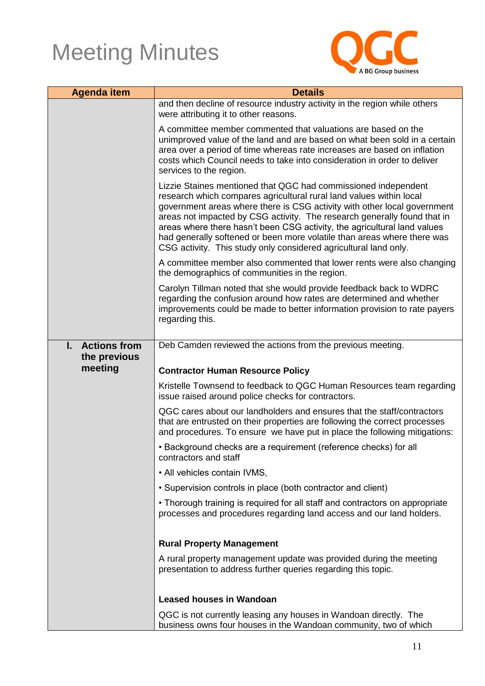

| <b>Agenda item</b>        | <b>Details</b>                                                                                                                                                                                                                                                                                                                                                                                                                                                                                                           |
|---------------------------|--------------------------------------------------------------------------------------------------------------------------------------------------------------------------------------------------------------------------------------------------------------------------------------------------------------------------------------------------------------------------------------------------------------------------------------------------------------------------------------------------------------------------|
|                           | and then decline of resource industry activity in the region while others<br>were attributing it to other reasons.                                                                                                                                                                                                                                                                                                                                                                                                       |
|                           | A committee member commented that valuations are based on the<br>unimproved value of the land and are based on what been sold in a certain<br>area over a period of time whereas rate increases are based on inflation<br>costs which Council needs to take into consideration in order to deliver<br>services to the region.                                                                                                                                                                                            |
|                           | Lizzie Staines mentioned that QGC had commissioned independent<br>research which compares agricultural rural land values within local<br>government areas where there is CSG activity with other local government<br>areas not impacted by CSG activity. The research generally found that in<br>areas where there hasn't been CSG activity, the agricultural land values<br>had generally softened or been more volatile than areas where there was<br>CSG activity. This study only considered agricultural land only. |
|                           | A committee member also commented that lower rents were also changing<br>the demographics of communities in the region.                                                                                                                                                                                                                                                                                                                                                                                                  |
|                           | Carolyn Tillman noted that she would provide feedback back to WDRC<br>regarding the confusion around how rates are determined and whether<br>improvements could be made to better information provision to rate payers<br>regarding this.                                                                                                                                                                                                                                                                                |
| L.<br><b>Actions from</b> | Deb Camden reviewed the actions from the previous meeting.                                                                                                                                                                                                                                                                                                                                                                                                                                                               |
| the previous<br>meeting   | <b>Contractor Human Resource Policy</b>                                                                                                                                                                                                                                                                                                                                                                                                                                                                                  |
|                           |                                                                                                                                                                                                                                                                                                                                                                                                                                                                                                                          |
|                           | Kristelle Townsend to feedback to QGC Human Resources team regarding<br>issue raised around police checks for contractors.                                                                                                                                                                                                                                                                                                                                                                                               |
|                           | QGC cares about our landholders and ensures that the staff/contractors<br>that are entrusted on their properties are following the correct processes<br>and procedures. To ensure we have put in place the following mitigations:                                                                                                                                                                                                                                                                                        |
|                           | • Background checks are a requirement (reference checks) for all<br>contractors and staff                                                                                                                                                                                                                                                                                                                                                                                                                                |
|                           | • All vehicles contain IVMS,                                                                                                                                                                                                                                                                                                                                                                                                                                                                                             |
|                           | • Supervision controls in place (both contractor and client)                                                                                                                                                                                                                                                                                                                                                                                                                                                             |
|                           | • Thorough training is required for all staff and contractors on appropriate<br>processes and procedures regarding land access and our land holders.                                                                                                                                                                                                                                                                                                                                                                     |
|                           | <b>Rural Property Management</b>                                                                                                                                                                                                                                                                                                                                                                                                                                                                                         |
|                           | A rural property management update was provided during the meeting<br>presentation to address further queries regarding this topic.                                                                                                                                                                                                                                                                                                                                                                                      |
|                           | <b>Leased houses in Wandoan</b>                                                                                                                                                                                                                                                                                                                                                                                                                                                                                          |
|                           | QGC is not currently leasing any houses in Wandoan directly. The<br>business owns four houses in the Wandoan community, two of which                                                                                                                                                                                                                                                                                                                                                                                     |